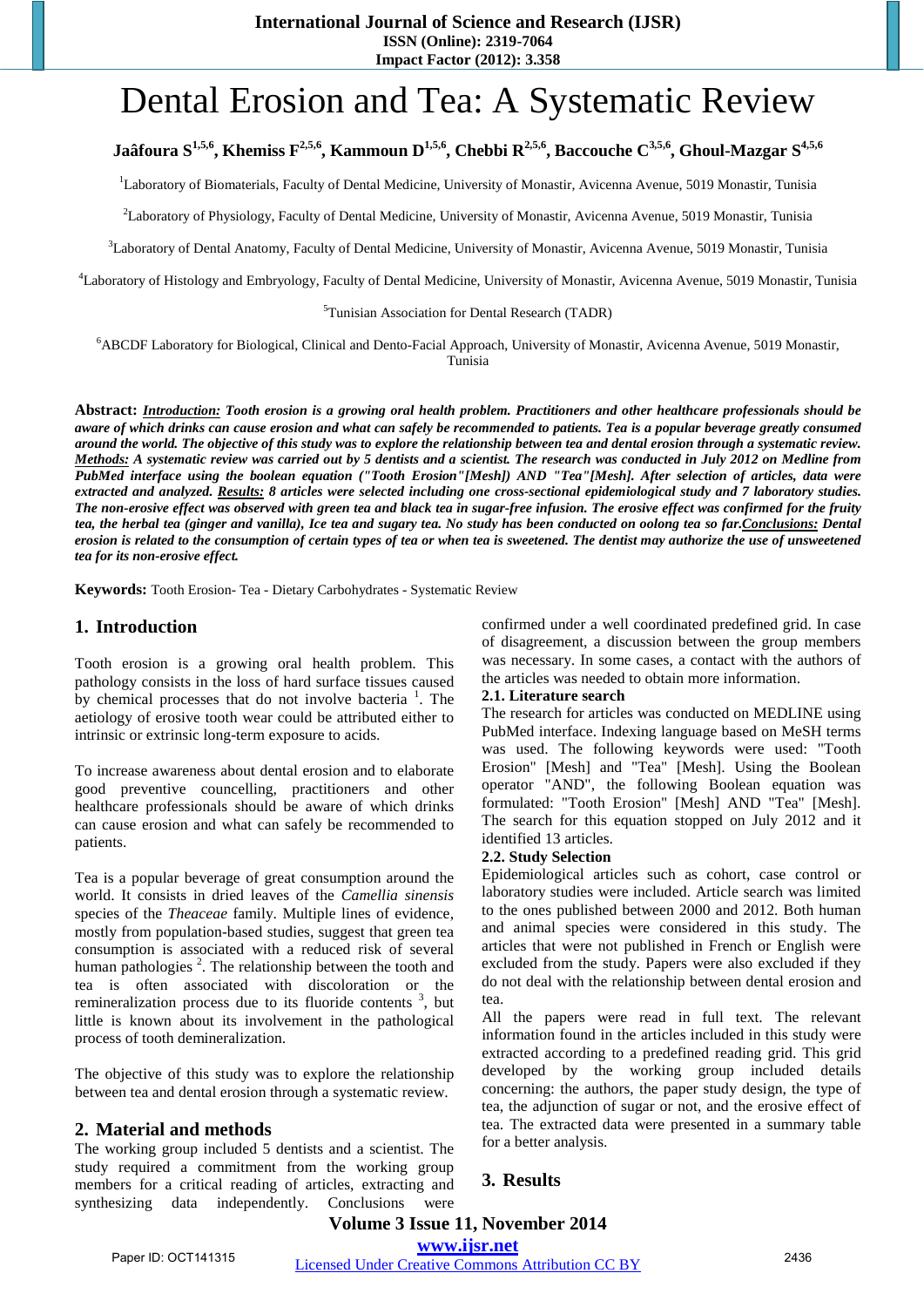**International Journal of Science and Research (IJSR)**

**ISSN (Online): 2319-7064**

**Impact Factor (2012): 3.358**

# Dental Erosion and Tea: A Systematic Review

# Jaâfoura S<sup>1,5,6</sup>, Khemiss F<sup>2,5,6</sup>, Kammoun D<sup>1,5,6</sup>, Chebbi R<sup>2,5,6</sup>, Baccouche C<sup>3,5,6</sup>, Ghoul-Mazgar S<sup>4,5,6</sup>

<sup>1</sup>Laboratory of Biomaterials, Faculty of Dental Medicine, University of Monastir, Avicenna Avenue, 5019 Monastir, Tunisia

2 Laboratory of Physiology, Faculty of Dental Medicine, University of Monastir, Avicenna Avenue, 5019 Monastir, Tunisia

<sup>3</sup>Laboratory of Dental Anatomy, Faculty of Dental Medicine, University of Monastir, Avicenna Avenue, 5019 Monastir, Tunisia

4 Laboratory of Histology and Embryology, Faculty of Dental Medicine, University of Monastir, Avicenna Avenue, 5019 Monastir, Tunisia

5 Tunisian Association for Dental Research (TADR)

6 ABCDF Laboratory for Biological, Clinical and Dento-Facial Approach, University of Monastir, Avicenna Avenue, 5019 Monastir, Tunisia

Abstract: Introduction: Tooth erosion is a growing oral health problem. Practitioners and other healthcare professionals should be aware of which drinks can cause erosion and what can safely be recommended to patients. Tea is a popular beverage greatly consumed around the world. The objective of this study was to explore the relationship between tea and dental erosion through a systematic review. *Methods: A systematic review was carried out by 5 dentists and a scientist. The research was conducted in July 2012 on Medline from PubMed interface using the boolean equation ("Tooth Erosion"[Mesh]) AND "Tea"[Mesh]. After selection of articles, data were extracted and analyzed. Results: 8 articles were selected including one cross-sectional epidemiological study and 7 laboratory studies.* The non-erosive effect was observed with green tea and black tea in sugar-free infusion. The erosive effect was confirmed for the fruity tea, the herbal tea (ginger and vanilla), Ice tea and sugary tea. No study has been conducted on oolong tea so far.Conclusions: Dental erosion is related to the consumption of certain types of tea or when tea is sweetened. The dentist may authorize the use of unsweetened *tea for its non-erosive effect.*

**Keywords:** Tooth Erosion- Tea - Dietary Carbohydrates - Systematic Review

#### **1. Introduction**

Tooth erosion is a growing oral health problem. This pathology consists in the loss of hard surface tissues caused by chemical processes that do not involve bacteria<sup>1</sup>. The aetiology of erosive tooth wear could be attributed either to intrinsic or extrinsic long-term exposure to acids.

To increase awareness about dental erosion and to elaborate good preventive councelling, practitioners and other healthcare professionals should be aware of which drinks can cause erosion and what can safely be recommended to patients.

Tea is a popular beverage of great consumption around the world. It consists in dried leaves of the *Camellia sinensis* species of the *Theaceae* family. Multiple lines of evidence, mostly from population-based studies, suggest that green tea consumption is associated with a reduced risk of several human pathologies<sup>2</sup>. The relationship between the tooth and tea is often associated with discoloration or the remineralization process due to its fluoride contents<sup>3</sup>, but little is known about its involvement in the pathological process of tooth demineralization.

The objective of this study was to explore the relationship between tea and dental erosion through a systematic review.

## **2. Material and methods**

The working group included 5 dentists and a scientist. The study required a commitment from the working group members for a critical reading of articles, extracting and synthesizing data independently. Conclusions were confirmed under a well coordinated predefined grid. In case of disagreement, a discussion between the group members was necessary. In some cases, a contact with the authors of the articles was needed to obtain more information.

#### **2.1. Literature search**

The research for articles was conducted on MEDLINE using PubMed interface. Indexing language based on MeSH terms was used. The following keywords were used: "Tooth Erosion" [Mesh] and "Tea" [Mesh]. Using the Boolean operator "AND", the following Boolean equation was formulated: "Tooth Erosion" [Mesh] AND "Tea" [Mesh]. The search for this equation stopped on July 2012 and it identified 13 articles.

#### **2.2. Study Selection**

Epidemiological articles such as cohort, case control or laboratory studies were included. Article search was limited to the ones published between 2000 and 2012. Both human and animal species were considered in this study. The articles that were not published in French or English were excluded from the study. Papers were also excluded if they do not deal with the relationship between dental erosion and tea.

All the papers were read in full text. The relevant information found in the articles included in this study were extracted according to a predefined reading grid. This grid developed by the working group included details concerning: the authors, the paper study design, the type of tea, the adjunction of sugar or not, and the erosive effect of tea. The extracted data were presented in a summary table for a better analysis.

## **3. Results**

**Volume 3 Issue 11, November 2014 www.ijsr.net**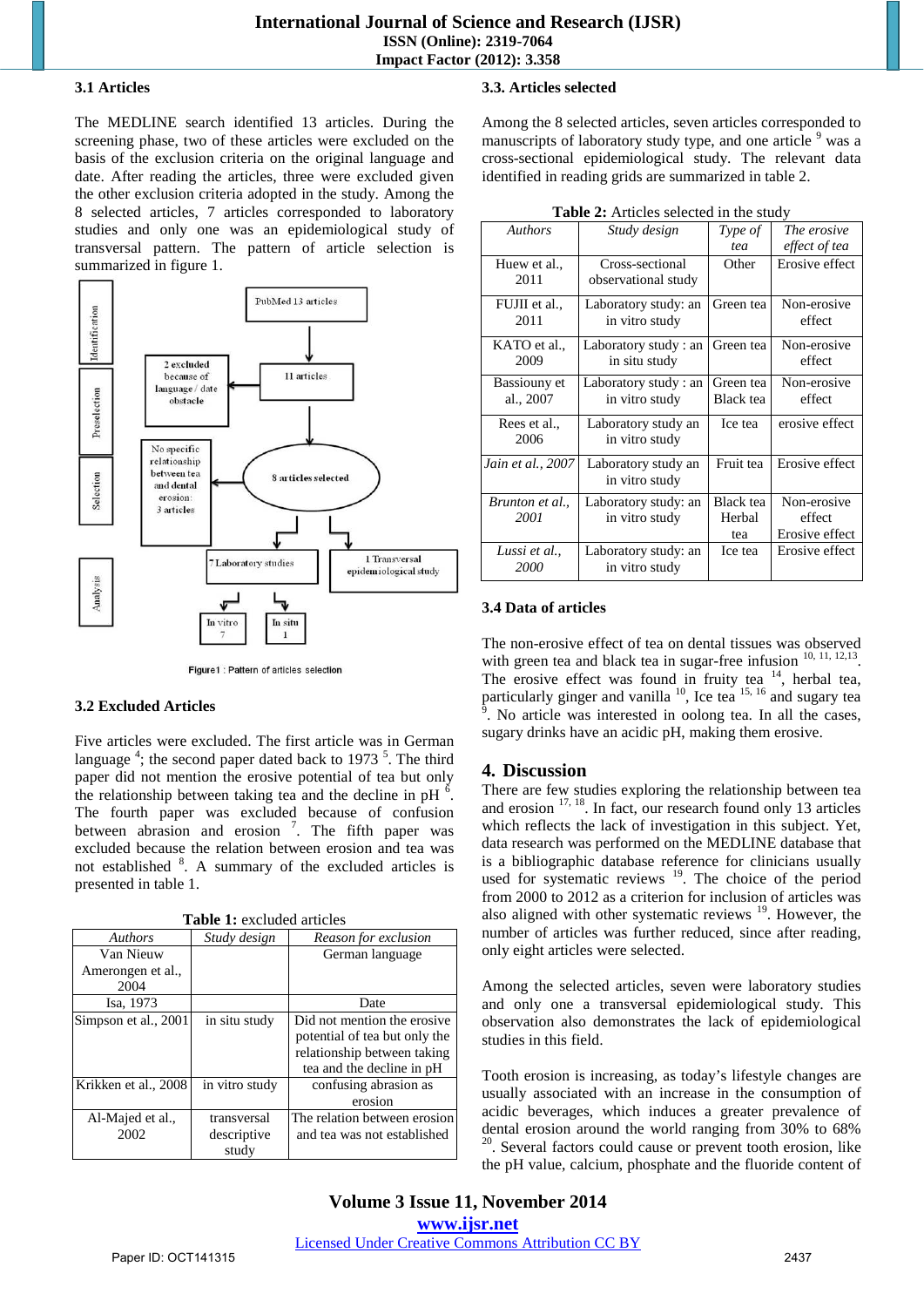#### **3.1 Articles**

The MEDLINE search identified 13 articles. During the screening phase, two of these articles were excluded on the basis of the exclusion criteria on the original language and date. After reading the articles, three were excluded given the other exclusion criteria adopted in the study. Among the 8 selected articles, 7 articles corresponded to laboratory studies and only one was an epidemiological study of transversal pattern. The pattern of article selection is summarized in figure 1.



Figure1 : Pattern of articles selection

#### **3.2 Excluded Articles**

Five articles were excluded. The first article was in German language<sup>4</sup>; the second paper dated back to 1973<sup>5</sup>. The third paper did not mention the erosive potential of tea but only the relationship between taking tea and the decline in pH $<sup>6</sup>$ .</sup> The fourth paper was excluded because of confusion between abrasion and erosion<sup>7</sup>. The fifth paper was excluded because the relation between erosion and tea was not established <sup>8</sup>. A summary of the excluded articles is presented in table 1.

| Authors              | Study design   | Reason for exclusion          |  |
|----------------------|----------------|-------------------------------|--|
| Van Nieuw            |                | German language               |  |
| Amerongen et al.,    |                |                               |  |
| 2004                 |                |                               |  |
| Isa, 1973            |                | Date                          |  |
| Simpson et al., 2001 | in situ study  | Did not mention the erosive   |  |
|                      |                | potential of tea but only the |  |
|                      |                | relationship between taking   |  |
|                      |                | tea and the decline in pH     |  |
| Krikken et al., 2008 | in vitro study | confusing abrasion as         |  |
|                      |                | erosion                       |  |
| Al-Majed et al.,     | transversal    | The relation between erosion  |  |
| 2002                 | descriptive    | and tea was not established   |  |
|                      | study          |                               |  |

## **3.3. Articles selected**

Among the 8 selected articles, seven articles corresponded to manuscripts of laboratory study type, and one article <sup>9</sup> was a cross-sectional epidemiological study. The relevant data identified in reading grids are summarized in table 2.

| <b>rable 2.</b> Articles scieded in the study |                      |           |                |
|-----------------------------------------------|----------------------|-----------|----------------|
| <b>Authors</b>                                | Study design         | Type of   | The erosive    |
|                                               |                      | tea       | effect of tea  |
| Huew et al.,                                  | Cross-sectional      | Other     | Erosive effect |
| 2011                                          | observational study  |           |                |
| FUJII et al.,                                 | Laboratory study: an | Green tea | Non-erosive    |
| 2011                                          | in vitro study       |           | effect         |
| KATO et al.,                                  | Laboratory study: an | Green tea | Non-erosive    |
| 2009                                          | in situ study        |           | effect         |
| Bassiouny et                                  | Laboratory study: an | Green tea | Non-erosive    |
| al., 2007                                     | in vitro study       | Black tea | effect         |
| Rees et al.,                                  | Laboratory study an  | Ice tea   | erosive effect |
| 2006                                          | in vitro study       |           |                |
| Jain et al., 2007                             | Laboratory study an  | Fruit tea | Erosive effect |
|                                               | in vitro study       |           |                |
| Brunton et al.,                               | Laboratory study: an | Black tea | Non-erosive    |
| 2001                                          | in vitro study       | Herbal    | effect         |
|                                               |                      | tea       | Erosive effect |
| Lussi et al.,                                 | Laboratory study: an | Ice tea   | Erosive effect |
| 2000                                          | in vitro study       |           |                |
|                                               |                      |           |                |

#### **Table 2:** Articles selected in the study

#### **3.4 Data of articles**

The non-erosive effect of tea on dental tissues was observed with green tea and black tea in sugar-free infusion  $^{10, 11, 12, 13}$ . The erosive effect was found in fruity tea  $14$ , herbal tea, particularly ginger and vanilla  $^{10}$ , Ice tea  $^{15, 16}$  and sugary tea  $^{9}$ . No exists we interested in oplong too. In all the cases . No article was interested in oolong tea. In all the cases, sugary drinks have an acidic pH, making them erosive.

## **4. Discussion**

There are few studies exploring the relationship between tea and erosion <sup>17, 18</sup>. In fact, our research found only 13 articles which reflects the lack of investigation in this subject. Yet, data research was performed on the MEDLINE database that is a bibliographic database reference for clinicians usually used for systematic reviews  $19$ . The choice of the period from 2000 to 2012 as a criterion for inclusion of articles was also aligned with other systematic reviews  $19$ . However, the number of articles was further reduced, since after reading, only eight articles were selected.

Among the selected articles, seven were laboratory studies and only one a transversal epidemiological study. This observation also demonstrates the lack of epidemiological studies in this field.

Tooth erosion is increasing, as today's lifestyle changes are usually associated with an increase in the consumption of acidic beverages, which induces a greater prevalence of dental erosion around the world ranging from 30% to 68%  $\alpha$ <sup>20</sup>. Several factors could cause or prevent tooth erosion, like the pH value, calcium, phosphate and the fluoride content of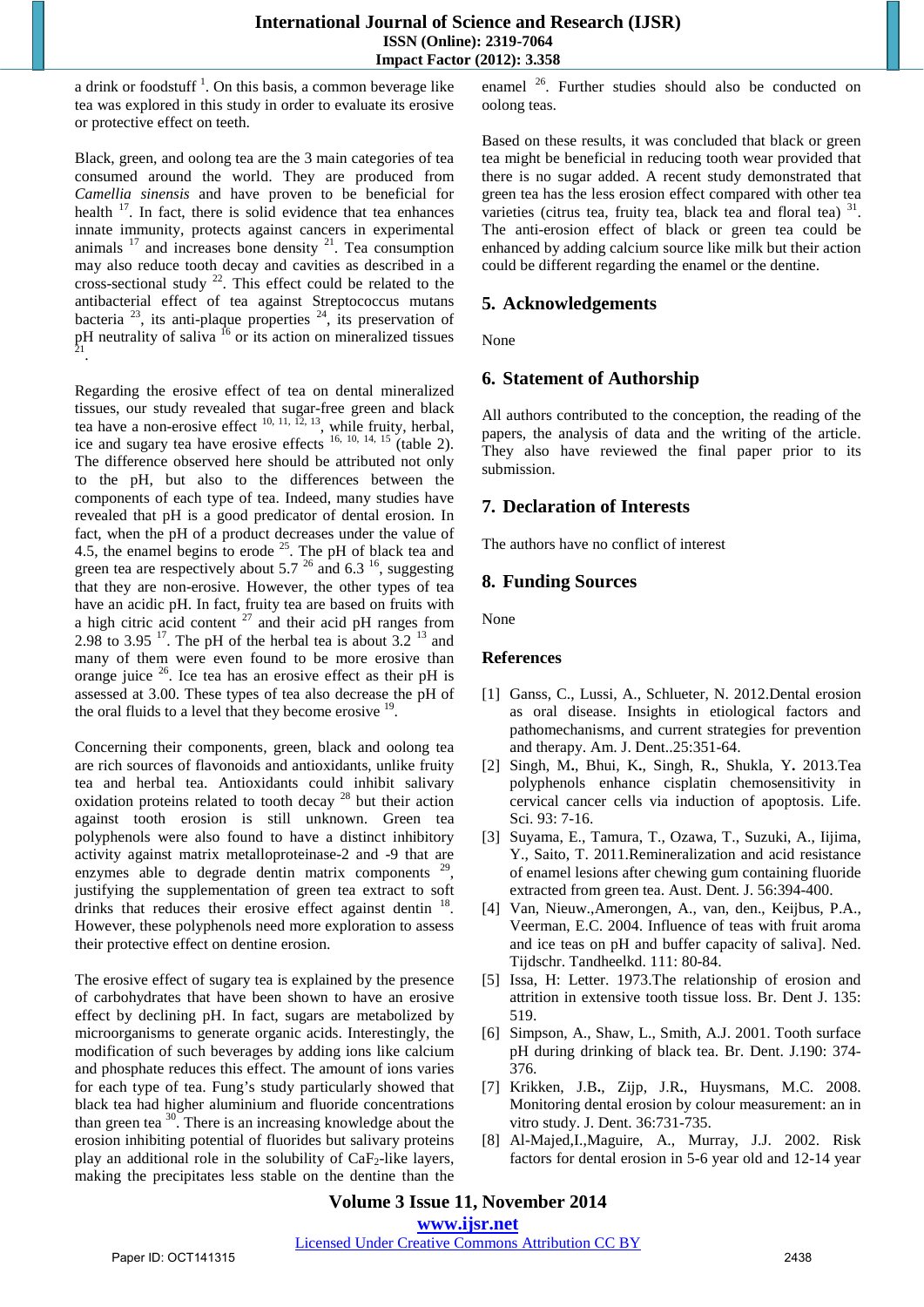a drink or foodstuff<sup>1</sup>. On this basis, a common beverage like tea was explored in this study in order to evaluate its erosive or protective effect on teeth.

Black, green, and oolong tea are the 3 main categories of tea consumed around the world. They are produced from *Camellia sinensis* and have proven to be beneficial for health  $17$ . In fact, there is solid evidence that tea enhances innate immunity, protects against cancers in experimental animals  $17$  and increases bone density  $21$ . Tea consumption may also reduce tooth decay and cavities as described in a cross-sectional study  $^{22}$ . This effect could be related to the antibacterial effect of tea against Streptococcus mutans bacteria  $^{23}$ , its anti-plaque properties  $^{24}$ , its preservation of  $pH$  neutrality of saliva  $^{16}$  or its action on mineralized tissues

Regarding the erosive effect of tea on dental mineralized tissues, our study revealed that sugar-free green and black tea have a non-erosive effect  $10, 11, 12, 13$ , while fruity, herbal, ice and sugary tea have erosive effects  $16, 10, 14, 15$  (table 2). The difference observed here should be attributed not only to the pH, but also to the differences between the components of each type of tea. Indeed, many studies have revealed that pH is a good predicator of dental erosion. In fact, when the pH of a product decreases under the value of 4.5, the enamel begins to erode  $^{25}$ . The pH of black tea and green tea are respectively about 5.7  $^{26}$  and 6.3  $^{16}$ , suggesting that they are non-erosive. However, the other types of tea have an acidic pH. In fact, fruity tea are based on fruits with a high citric acid content  $27$  and their acid pH ranges from 2.98 to 3.95  $^{17}$ . The pH of the herbal tea is about 3.2  $^{13}$  and many of them were even found to be more erosive than orange juice  $26$ . Ice tea has an erosive effect as their pH is assessed at 3.00. These types of tea also decrease the pH of the oral fluids to a level that they become erosive  $19$ .

Concerning their components, green, black and oolong tea are rich sources of flavonoids and antioxidants, unlike fruity tea and herbal tea. Antioxidants could inhibit salivary oxidation proteins related to tooth decay  $28$  but their action against tooth erosion is still unknown. Green tea polyphenols were also found to have a distinct inhibitory activity against matrix metalloproteinase-2 and -9 that are enzymes able to degrade dentin matrix components  $29$ , justifying the supplementation of green tea extract to soft drinks that reduces their erosive effect against dentin <sup>18</sup>. However, these polyphenols need more exploration to assess their protective effect on dentine erosion.

The erosive effect of sugary tea is explained by the presence of carbohydrates that have been shown to have an erosive effect by declining pH. In fact, sugars are metabolized by microorganisms to generate organic acids. Interestingly, the modification of such beverages by adding ions like calcium and phosphate reduces this effect. The amount of ions varies for each type of tea. Fung's study particularly showed that black tea had higher aluminium and fluoride concentrations than green tea <sup>30</sup>. There is an increasing knowledge about the erosion inhibiting potential of fluorides but salivary proteins play an additional role in the solubility of  $CaF<sub>2</sub>-like$  layers, making the precipitates less stable on the dentine than the

enamel 26. Further studies should also be conducted on oolong teas.

Based on these results, it was concluded that black or green tea might be beneficial in reducing tooth wear provided that there is no sugar added. A recent study demonstrated that green tea has the less erosion effect compared with other tea varieties (citrus tea, fruity tea, black tea and floral tea) 31. The anti-erosion effect of black or green tea could be enhanced by adding calcium source like milk but their action could be different regarding the enamel or the dentine.

# **5. Acknowledgements**

None

# **6. Statement of Authorship**

All authors contributed to the conception, the reading of the papers, the analysis of data and the writing of the article. They also have reviewed the final paper prior to its submission.

# **7. Declaration of Interests**

The authors have no conflict of interest

# **8. Funding Sources**

None

## **References**

- [1] [Ganss, C.,](http://www.ncbi.nlm.nih.gov/pubmed?term=Ganss%20C%5BAuthor%5D&cauthor=true&cauthor_uid=23409626) [Lussi, A.,](http://www.ncbi.nlm.nih.gov/pubmed?term=Lussi%20A%5BAuthor%5D&cauthor=true&cauthor_uid=23409626) [Schlueter, N.](http://www.ncbi.nlm.nih.gov/pubmed?term=Schlueter%20N%5BAuthor%5D&cauthor=true&cauthor_uid=23409626) 2012.Dental erosion as oral disease. Insights in etiological factors and pathomechanisms, and current strategies for prevention and therapy. [Am. J. Dent.](http://www.ncbi.nlm.nih.gov/pubmed/23409626).25:351-64.
- [2] [Singh, M](http://www.ncbi.nlm.nih.gov/pubmed?term=Singh%20M%5BAuthor%5D&cauthor=true&cauthor_uid=23399702)**.**, [Bhui, K](http://www.ncbi.nlm.nih.gov/pubmed?term=Bhui%20K%5BAuthor%5D&cauthor=true&cauthor_uid=23399702)**.**, [Singh, R](http://www.ncbi.nlm.nih.gov/pubmed?term=Singh%20R%5BAuthor%5D&cauthor=true&cauthor_uid=23399702)**.**, [Shukla, Y](http://www.ncbi.nlm.nih.gov/pubmed?term=Shukla%20Y%5BAuthor%5D&cauthor=true&cauthor_uid=23399702)**.** 2013.Tea polyphenols enhance cisplatin chemosensitivity in cervical cancer cells via induction of apoptosis. Life. Sci. 93: 7-16.
- [3] [Suyama, E.](http://www.ncbi.nlm.nih.gov/pubmed?term=Suyama%20E%5BAuthor%5D&cauthor=true&cauthor_uid=22126349), [Tamura, T.](http://www.ncbi.nlm.nih.gov/pubmed?term=Tamura%20T%5BAuthor%5D&cauthor=true&cauthor_uid=22126349), [Ozawa, T.](http://www.ncbi.nlm.nih.gov/pubmed?term=Ozawa%20T%5BAuthor%5D&cauthor=true&cauthor_uid=22126349), [Suzuki, A.,](http://www.ncbi.nlm.nih.gov/pubmed?term=Suzuki%20A%5BAuthor%5D&cauthor=true&cauthor_uid=22126349) [Iijima,](http://www.ncbi.nlm.nih.gov/pubmed?term=Iijima%20Y%5BAuthor%5D&cauthor=true&cauthor_uid=22126349)  [Y.](http://www.ncbi.nlm.nih.gov/pubmed?term=Iijima%20Y%5BAuthor%5D&cauthor=true&cauthor_uid=22126349), [Saito, T.](http://www.ncbi.nlm.nih.gov/pubmed?term=Saito%20T%5BAuthor%5D&cauthor=true&cauthor_uid=22126349) 2011.Remineralization and acid resistance of enamel lesions after chewing gum containing fluoride extracted from green tea. Aust. Dent. J. 56:394-400.
- [4] [Van, Nieuw.,Amerongen, A.](http://www.ncbi.nlm.nih.gov/pubmed?term=van%20Nieuw%20Amerongen%20A%5BAuthor%5D&cauthor=true&cauthor_uid=15058242), van, den., [Keijbus, P.A.](http://www.ncbi.nlm.nih.gov/pubmed?term=van%20den%20Keijbus%20PA%5BAuthor%5D&cauthor=true&cauthor_uid=15058242), [Veerman, E.C.](http://www.ncbi.nlm.nih.gov/pubmed?term=Veerman%20EC%5BAuthor%5D&cauthor=true&cauthor_uid=15058242) 2004. Influence of teas with fruit aroma and ice teas on pH and buffer capacity of saliva]. Ned. Tijdschr. Tandheelkd. 111: 80-84.
- [5] [Issa, H:](http://www.ncbi.nlm.nih.gov/pubmed?term=Issa%20H%5BAuthor%5D&cauthor=true&cauthor_uid=4520642) Letter. 1973.The relationship of erosion and attrition in extensive tooth tissue loss. [Br. Dent J.](http://www.ncbi.nlm.nih.gov/pubmed/4520642) 135: 519.
- [6] [Simpson, A.](http://www.ncbi.nlm.nih.gov/pubmed?term=Simpson%20A%5BAuthor%5D&cauthor=true&cauthor_uid=11338040), [Shaw, L.](http://www.ncbi.nlm.nih.gov/pubmed?term=Shaw%20L%5BAuthor%5D&cauthor=true&cauthor_uid=11338040), [Smith, A.J.](http://www.ncbi.nlm.nih.gov/pubmed?term=Smith%20AJ%5BAuthor%5D&cauthor=true&cauthor_uid=11338040) 2001. Tooth surface pH during drinking of black tea. Br. Dent. J.190: 374- 376.
- [7] [Krikken, J.B](http://www.ncbi.nlm.nih.gov/pubmed?term=Krikken%20JB%5BAuthor%5D&cauthor=true&cauthor_uid=18573587)**.**, [Zijp, J.R](http://www.ncbi.nlm.nih.gov/pubmed?term=Zijp%20JR%5BAuthor%5D&cauthor=true&cauthor_uid=18573587)**.**, [Huysmans, M.C.](http://www.ncbi.nlm.nih.gov/pubmed?term=Huysmans%20MC%5BAuthor%5D&cauthor=true&cauthor_uid=18573587) 2008. Monitoring dental erosion by colour measurement: an in vitro study. J. Dent. 36:731-735.
- [8] [Al-Majed,I.](http://www.ncbi.nlm.nih.gov/pubmed?term=Al-Majed%20I%5BAuthor%5D&cauthor=true&cauthor_uid=11918574)[,Maguire, A.,](http://www.ncbi.nlm.nih.gov/pubmed?term=Maguire%20A%5BAuthor%5D&cauthor=true&cauthor_uid=11918574) [Murray, J.J.](http://www.ncbi.nlm.nih.gov/pubmed?term=Murray%20JJ%5BAuthor%5D&cauthor=true&cauthor_uid=11918574) 2002. Risk factors for dental erosion in 5-6 year old and 12-14 year